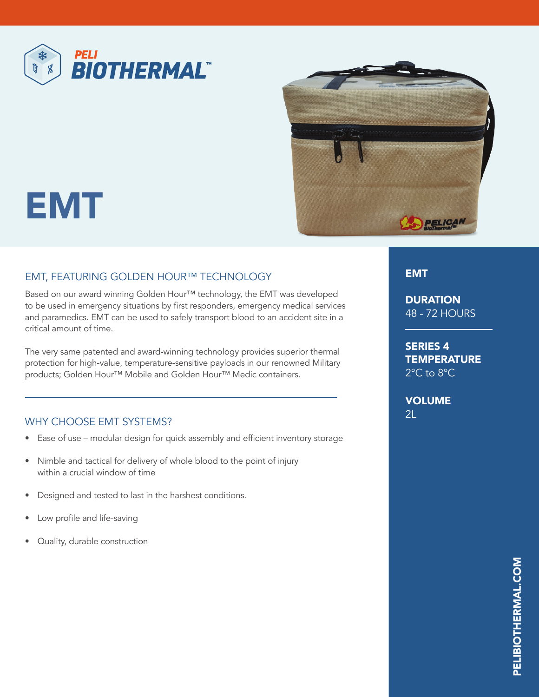



## EMT

## EMT, FEATURING GOLDEN HOUR™ TECHNOLOGY

Based on our award winning Golden Hour™ technology, the EMT was developed to be used in emergency situations by first responders, emergency medical services and paramedics. EMT can be used to safely transport blood to an accident site in a critical amount of time.

The very same patented and award-winning technology provides superior thermal protection for high-value, temperature-sensitive payloads in our renowned Military products; Golden Hour™ Mobile and Golden Hour™ Medic containers.

## WHY CHOOSE EMT SYSTEMS?

- Ease of use modular design for quick assembly and efficient inventory storage
- Nimble and tactical for delivery of whole blood to the point of injury within a crucial window of time
- Designed and tested to last in the harshest conditions.
- Low profile and life-saving
- • Quality, durable construction

## EMT

**DURATION** 48 - 72 HOURS

SERIES 4 **TEMPERATURE** 2°C to 8°C

**VOLUME**  $2^{\mid}$